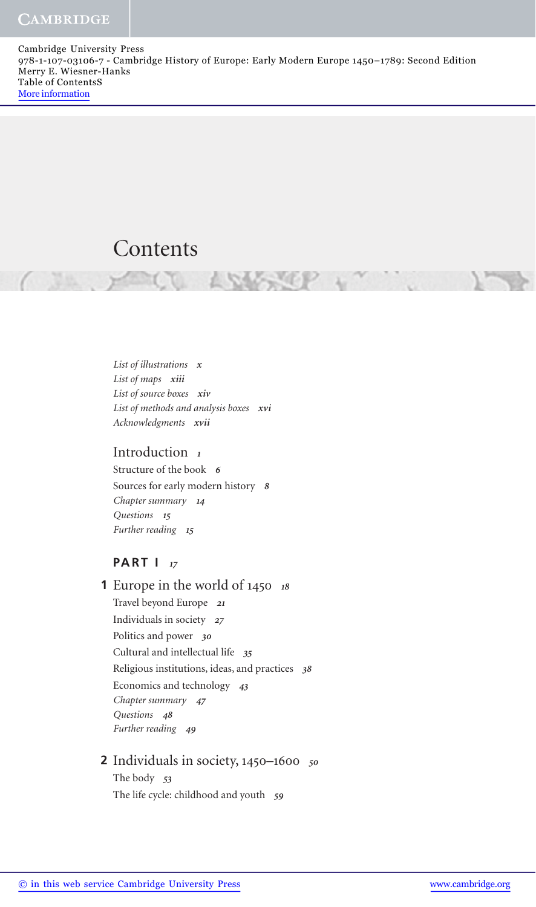Cambridge University Press 978-1-107-03106-7 - Cambridge History of Europe: Early Modern Europe 1450–1789: Second Edition Merry E. Wiesner-Hanks Table of ContentsS More information

# Contents

 *List of illustrations x List of maps xiii List of source boxes xiv List of methods and analysis boxes xvi Acknowledgments xvii* 

### Introduction *1*

 Structure of the book *6* Sources for early modern history *8 Chapter summary 14 Questions 15 Further reading 15*

### **PART I** *17*

 Europe in the world of 1450 *<sup>18</sup>* **1** Travel beyond Europe *21* Individuals in society *27* Politics and power *30* Cultural and intellectual life *35* Religious institutions, ideas, and practices *38* Economics and technology *43 Chapter summary 47 Questions 48 Further reading 49*

### Individuals in society, 1450–1600 *<sup>50</sup>* **2** The body *53* The life cycle: childhood and youth *59*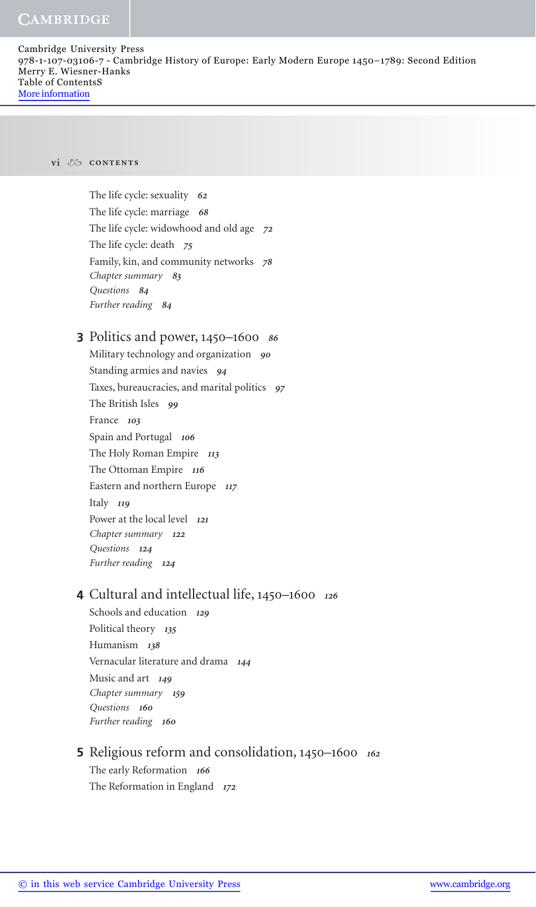#### **CAMBRIDGE**

Cambridge University Press 978-1-107-03106-7 - Cambridge History of Europe: Early Modern Europe 1450–1789: Second Edition Merry E. Wiesner-Hanks Table of ContentsS More information

#### **vi contents**

 The life cycle: sexuality *62* The life cycle: marriage *68* The life cycle: widowhood and old age *72* The life cycle: death *75* Family, kin, and community networks *78 Chapter summary 83 Questions 84 Further reading 84*

# Politics and power, 1450–1600 *<sup>86</sup>* **3**

 Military technology and organization *90* Standing armies and navies *94* Taxes, bureaucracies, and marital politics *97* The British Isles *99* France *103* Spain and Portugal *106* The Holy Roman Empire *113* The Ottoman Empire *116* Eastern and northern Europe *117* Italy *119* Power at the local level *121 Chapter summary 122 Questions 124*

*Further reading 124*

# Cultural and intellectual life, 1450–1600 *<sup>126</sup>* **4**

 Schools and education *129* Political theory *135* Humanism *138* Vernacular literature and drama *144* Music and art *149 Chapter summary 159 Questions 160 Further reading 160*

### Religious reform and consolidation, 1450–1600 *<sup>162</sup>* **5** The early Reformation *166*

The Reformation in England *172*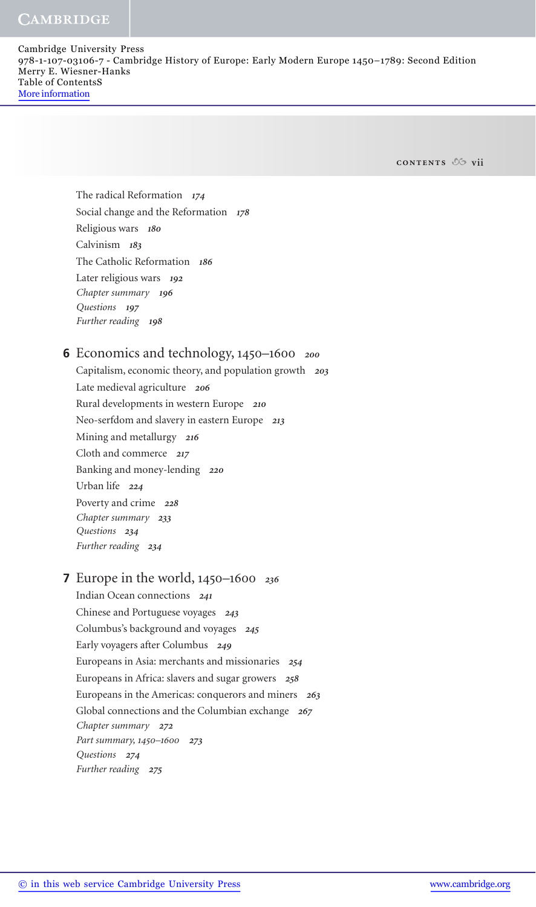#### **CAMBRIDGE**

Cambridge University Press 978-1-107-03106-7 - Cambridge History of Europe: Early Modern Europe 1450–1789: Second Edition Merry E. Wiesner-Hanks Table of ContentsS More information

**contents vii**

 The radical Reformation *174* Social change and the Reformation *178* Religious wars *180* Calvinism *183* The Catholic Reformation *186* Later religious wars *192 Chapter summary 196 Questions 197 Further reading 198*

# Economics and technology, 1450–1600 *<sup>200</sup>* **6**

 Capitalism, economic theory, and population growth *203* Late medieval agriculture *206* Rural developments in western Europe *210* Neo-serfdom and slavery in eastern Europe *213* Mining and metallurgy *216* Cloth and commerce *217* Banking and money-lending *220* Urban life *224* Poverty and crime *228 Chapter summary 233 Questions 234 Further reading 234*

# Europe in the world, 1450–1600 *<sup>236</sup>* **7**

 Indian Ocean connections *241* Chinese and Portuguese voyages *243* Columbus's background and voyages *245* Early voyagers after Columbus *249* Europeans in Asia: merchants and missionaries *254* Europeans in Africa: slavers and sugar growers *258* Europeans in the Americas: conquerors and miners *263* Global connections and the Columbian exchange *267 Chapter summary 272 Part summary,* 1450–1600 *273 Questions 274 Further reading 275*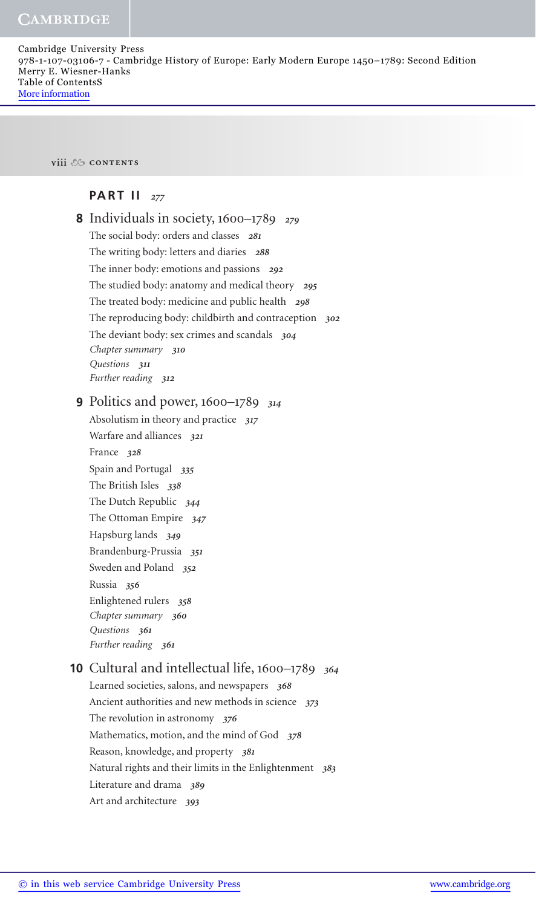**viii contents**

### **PART II** *277*

| <b>8</b> Individuals in society, $1600-1789$ 279           |
|------------------------------------------------------------|
| The social body: orders and classes 281                    |
| The writing body: letters and diaries 288                  |
| The inner body: emotions and passions 292                  |
| The studied body: anatomy and medical theory 295           |
|                                                            |
| The treated body: medicine and public health 298           |
| The reproducing body: childbirth and contraception 302     |
| The deviant body: sex crimes and scandals 304              |
| Chapter summary 310<br>Questions 311                       |
| Further reading 312                                        |
|                                                            |
| <b>9</b> Politics and power, $1600-1789$ 314               |
| Absolutism in theory and practice 317                      |
| Warfare and alliances 321                                  |
| France 328                                                 |
| Spain and Portugal 335                                     |
| The British Isles 338                                      |
| The Dutch Republic 344                                     |
| The Ottoman Empire 347                                     |
| Hapsburg lands 349                                         |
| Brandenburg-Prussia 351                                    |
| Sweden and Poland 352                                      |
| Russia 356                                                 |
| Enlightened rulers 358                                     |
| Chapter summary 360                                        |
| Questions 361                                              |
| Further reading 361                                        |
| <b>10</b> Cultural and intellectual life, 1600–1789<br>364 |
| Learned societies, salons, and newspapers 368              |
| Ancient authorities and new methods in science 373         |
| The revolution in astronomy $376$                          |
| Mathematics, motion, and the mind of God 378               |
| Reason, knowledge, and property 381                        |
| Natural rights and their limits in the Enlightenment 383   |
| Literature and drama 389                                   |
| Art and architecture<br>393                                |
|                                                            |